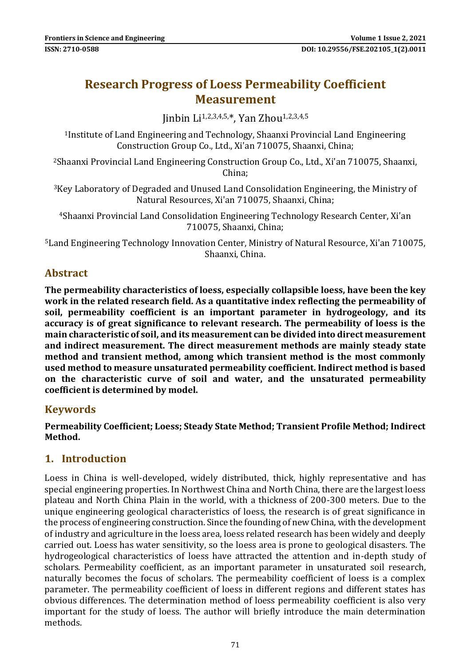# **Research Progress of Loess Permeability Coefficient Measurement**

Iinhin Li<sup>1,2,3,4,5,\*</sup>, Yan Zhou<sup>1,2,3,4,5</sup>

<sup>1</sup>Institute of Land Engineering and Technology, Shaanxi Provincial Land Engineering Construction Group Co., Ltd., Xi'an 710075, Shaanxi, China;

<sup>2</sup>Shaanxi Provincial Land Engineering Construction Group Co., Ltd., Xi'an 710075, Shaanxi, China;

<sup>3</sup>Key Laboratory of Degraded and Unused Land Consolidation Engineering, the Ministry of Natural Resources, Xi'an 710075, Shaanxi, China;

<sup>4</sup>Shaanxi Provincial Land Consolidation Engineering Technology Research Center, Xi'an 710075, Shaanxi, China;

<sup>5</sup>Land Engineering Technology Innovation Center, Ministry of Natural Resource, Xi'an 710075, Shaanxi, China.

## **Abstract**

**The permeability characteristics of loess, especially collapsible loess, have been the key work in the related research field. As a quantitative index reflecting the permeability of soil, permeability coefficient is an important parameter in hydrogeology, and its accuracy is of great significance to relevant research. The permeability of loess is the main characteristic of soil, and its measurement can be divided into direct measurement and indirect measurement. The direct measurement methods are mainly steady state method and transient method, among which transient method is the most commonly used method to measure unsaturated permeability coefficient. Indirect method is based on the characteristic curve of soil and water, and the unsaturated permeability coefficient is determined by model.**

#### **Keywords**

**Permeability Coefficient; Loess; Steady State Method; Transient Profile Method; Indirect Method.**

# **1. Introduction**

Loess in China is well-developed, widely distributed, thick, highly representative and has special engineering properties. In Northwest China and North China, there are the largest loess plateau and North China Plain in the world, with a thickness of 200-300 meters. Due to the unique engineering geological characteristics of loess, the research is of great significance in the process of engineering construction. Since the founding of new China, with the development of industry and agriculture in the loess area, loess related research has been widely and deeply carried out. Loess has water sensitivity, so the loess area is prone to geological disasters. The hydrogeological characteristics of loess have attracted the attention and in-depth study of scholars. Permeability coefficient, as an important parameter in unsaturated soil research, naturally becomes the focus of scholars. The permeability coefficient of loess is a complex parameter. The permeability coefficient of loess in different regions and different states has obvious differences. The determination method of loess permeability coefficient is also very important for the study of loess. The author will briefly introduce the main determination methods.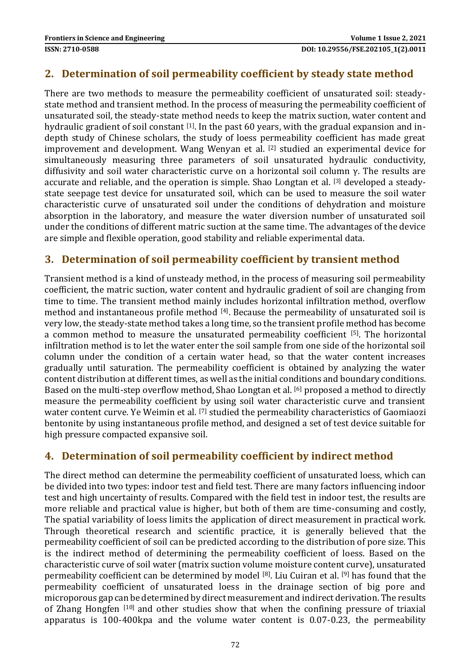### **2. Determination of soil permeability coefficient by steady state method**

There are two methods to measure the permeability coefficient of unsaturated soil: steadystate method and transient method. In the process of measuring the permeability coefficient of unsaturated soil, the steady-state method needs to keep the matrix suction, water content and hydraulic gradient of soil constant [1]. In the past 60 years, with the gradual expansion and indepth study of Chinese scholars, the study of loess permeability coefficient has made great improvement and development. Wang Wenyan et al. [2] studied an experimental device for simultaneously measuring three parameters of soil unsaturated hydraulic conductivity, diffusivity and soil water characteristic curve on a horizontal soil column γ. The results are accurate and reliable, and the operation is simple. Shao Longtan et al. [3] developed a steadystate seepage test device for unsaturated soil, which can be used to measure the soil water characteristic curve of unsaturated soil under the conditions of dehydration and moisture absorption in the laboratory, and measure the water diversion number of unsaturated soil under the conditions of different matric suction at the same time. The advantages of the device are simple and flexible operation, good stability and reliable experimental data.

#### **3. Determination of soil permeability coefficient by transient method**

Transient method is a kind of unsteady method, in the process of measuring soil permeability coefficient, the matric suction, water content and hydraulic gradient of soil are changing from time to time. The transient method mainly includes horizontal infiltration method, overflow method and instantaneous profile method [4]. Because the permeability of unsaturated soil is very low, the steady-state method takes a long time, so the transient profile method has become a common method to measure the unsaturated permeability coefficient [5]. The horizontal infiltration method is to let the water enter the soil sample from one side of the horizontal soil column under the condition of a certain water head, so that the water content increases gradually until saturation. The permeability coefficient is obtained by analyzing the water content distribution at different times, as well as the initial conditions and boundary conditions. Based on the multi-step overflow method, Shao Longtan et al. [6] proposed a method to directly measure the permeability coefficient by using soil water characteristic curve and transient water content curve. Ye Weimin et al. <a>[7]</a> studied the permeability characteristics of Gaomiaozi bentonite by using instantaneous profile method, and designed a set of test device suitable for high pressure compacted expansive soil.

# **4. Determination of soil permeability coefficient by indirect method**

The direct method can determine the permeability coefficient of unsaturated loess, which can be divided into two types: indoor test and field test. There are many factors influencing indoor test and high uncertainty of results. Compared with the field test in indoor test, the results are more reliable and practical value is higher, but both of them are time-consuming and costly, The spatial variability of loess limits the application of direct measurement in practical work. Through theoretical research and scientific practice, it is generally believed that the permeability coefficient of soil can be predicted according to the distribution of pore size. This is the indirect method of determining the permeability coefficient of loess. Based on the characteristic curve of soil water (matrix suction volume moisture content curve), unsaturated permeability coefficient can be determined by model [8]. Liu Cuiran et al. [9] has found that the permeability coefficient of unsaturated loess in the drainage section of big pore and microporous gap can be determined by direct measurement and indirect derivation. The results of Zhang Hongfen [10] and other studies show that when the confining pressure of triaxial apparatus is 100-400kpa and the volume water content is 0.07-0.23, the permeability